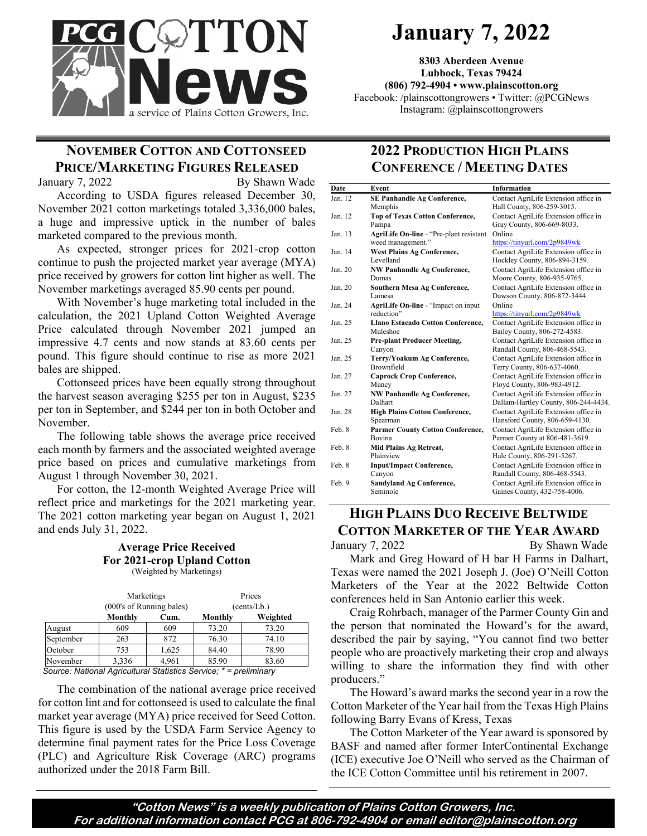

# **January 7, 2022**

**8303 Aberdeen Avenue Lubbock, Texas 79424 (806) 792-4904 • www.plainscotton.org** Facebook: /plainscottongrowers • Twitter: @PCGNews Instagram: @plainscottongrowers

# **NOVEMBER COTTON AND COTTONSEED PRICE/MARKETING FIGURES RELEASED**

January 7, 2022 By Shawn Wade

According to USDA figures released December 30, November 2021 cotton marketings totaled 3,336,000 bales, a huge and impressive uptick in the number of bales marketed compared to the previous month.

As expected, stronger prices for 2021-crop cotton continue to push the projected market year average (MYA) price received by growers for cotton lint higher as well. The November marketings averaged 85.90 cents per pound.

With November's huge marketing total included in the calculation, the 2021 Upland Cotton Weighted Average Price calculated through November 2021 jumped an impressive 4.7 cents and now stands at 83.60 cents per pound. This figure should continue to rise as more 2021 bales are shipped.

Cottonseed prices have been equally strong throughout the harvest season averaging \$255 per ton in August, \$235 per ton in September, and \$244 per ton in both October and November.

The following table shows the average price received each month by farmers and the associated weighted average price based on prices and cumulative marketings from August 1 through November 30, 2021.

For cotton, the 12-month Weighted Average Price will reflect price and marketings for the 2021 marketing year. The 2021 cotton marketing year began on August 1, 2021 and ends July 31, 2022.

#### **Average Price Received For 2021-crop Upland Cotton**  (Weighted by Marketings)

|           | Marketings<br>(000's of Running bales) |       | Prices<br>(cents/Lb.) |          |
|-----------|----------------------------------------|-------|-----------------------|----------|
|           | Monthly                                | Cum.  | Monthly               | Weighted |
| August    | 609                                    | 609   | 73.20                 | 73.20    |
| September | 263                                    | 872   | 76.30                 | 74.10    |
| October   | 753                                    | 1,625 | 84.40                 | 78.90    |
| November  | 3,336                                  | 4,961 | 85.90                 | 83.60    |

*Source: National Agricultural Statistics Service; \* = preliminary*

The combination of the national average price received for cotton lint and for cottonseed is used to calculate the final market year average (MYA) price received for Seed Cotton. This figure is used by the USDA Farm Service Agency to determine final payment rates for the Price Loss Coverage (PLC) and Agriculture Risk Coverage (ARC) programs authorized under the 2018 Farm Bill.

## **2022 PRODUCTION HIGH PLAINS CONFERENCE / MEETING DATES**

| Date              | Event                                   | <b>Information</b>                   |
|-------------------|-----------------------------------------|--------------------------------------|
| Jan. 12           | <b>SE Panhandle Ag Conference,</b>      | Contact AgriLife Extension office in |
|                   | Memphis                                 | Hall County, 806-259-3015.           |
| Jan <sub>12</sub> | <b>Top of Texas Cotton Conference,</b>  | Contact AgriLife Extension office in |
|                   | Pampa                                   | Gray County, 806-669-8033.           |
| Jan. 13           | AgriLife On-line - "Pre-plant resistant | Online                               |
|                   | weed management."                       | https://tinyurl.com/2p9849wk         |
| Jan. 14           | <b>West Plains Ag Conference,</b>       | Contact AgriLife Extension office in |
|                   | Levelland                               | Hockley County, 806-894-3159.        |
| Jan. 20           | <b>NW Panhandle Ag Conference,</b>      | Contact AgriLife Extension office in |
|                   | Dumas                                   | Moore County, 806-935-9765.          |
| Jan. 20           | <b>Southern Mesa Ag Conference,</b>     | Contact AgriLife Extension office in |
|                   | Lamesa                                  | Dawson County, 806-872-3444.         |
| Jan. 24           | AgriLife On-line - "Impact on input     | Online                               |
|                   | reduction"                              | https://tinyurl.com/2p9849wk         |
| $Jan$ $25$        | Llano Estacado Cotton Conference,       | Contact AgriLife Extension office in |
|                   | Muleshoe                                | Bailey County, 806-272-4583.         |
| Jan. 25           | <b>Pre-plant Producer Meeting,</b>      | Contact AgriLife Extension office in |
|                   | Canyon                                  | Randall County, 806-468-5543.        |
| Jan. 25           | Terry/Yoakum Ag Conference,             | Contact AgriLife Extension office in |
|                   | Brownfield                              | Terry County, 806-637-4060.          |
| Jan. 27           | <b>Caprock Crop Conference,</b>         | Contact AgriLife Extension office in |
|                   | Muncy                                   | Floyd County, 806-983-4912.          |
| Jan. 27           | <b>NW Panhandle Ag Conference,</b>      | Contact AgriLife Extension office in |
|                   | Dalhart                                 | Dallam-Hartley County, 806-244-4434. |
| Jan 28            | <b>High Plains Cotton Conference,</b>   | Contact AgriLife Extension office in |
|                   | Spearman                                | Hansford County, 806-659-4130.       |
| Feb. 8            | <b>Parmer County Cotton Conference,</b> | Contact AgriLife Extension office in |
|                   | Bovina                                  | Parmer County at 806-481-3619.       |
| Feb 8             | Mid Plains Ag Retreat,                  | Contact AgriLife Extension office in |
|                   | Plainview                               | Hale County, 806-291-5267.           |
| Feb. 8            | <b>Input/Impact Conference,</b>         | Contact AgriLife Extension office in |
|                   | Canyon                                  | Randall County, 806-468-5543.        |
| Feb. 9            | Sandyland Ag Conference,                | Contact AgriLife Extension office in |
|                   | Seminole                                | Gaines County, 432-758-4006.         |

### **HIGH PLAINS DUO RECEIVE BELTWIDE COTTON MARKETER OF THE YEAR AWARD** January 7, 2022 By Shawn Wade

Mark and Greg Howard of H bar H Farms in Dalhart, Texas were named the 2021 Joseph J. (Joe) O'Neill Cotton Marketers of the Year at the 2022 Beltwide Cotton conferences held in San Antonio earlier this week.

Craig Rohrbach, manager of the Parmer County Gin and the person that nominated the Howard's for the award, described the pair by saying, "You cannot find two better people who are proactively marketing their crop and always willing to share the information they find with other producers."

The Howard's award marks the second year in a row the Cotton Marketer of the Year hail from the Texas High Plains following Barry Evans of Kress, Texas

The Cotton Marketer of the Year award is sponsored by BASF and named after former InterContinental Exchange (ICE) executive Joe O'Neill who served as the Chairman of the ICE Cotton Committee until his retirement in 2007.

**"Cotton News" is a weekly publication of Plains Cotton Growers, Inc. For additional information contact PCG at 806-792-4904 or email editor@plainscotton.org**